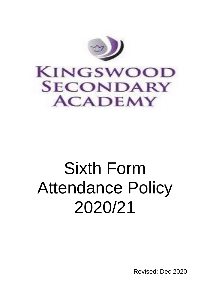

### **KINGSWOOD SECONDARY ACADEMY**

## Sixth Form Attendance Policy 2020/21

Revised: Dec 2020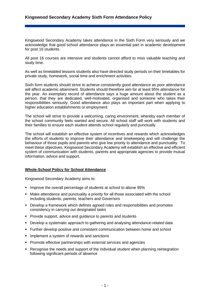Kingswood Secondary Academy takes attendance in the Sixth Form very seriously and we acknowledge that good school attendance plays an essential part in academic development for post 16 students.

All post 16 courses are intensive and students cannot afford to miss valuable teaching and study time.

As well as timetabled lessons students also have directed study periods on their timetables for private study, homework, social time and enrichment activities.

Sixth form students should strive to achieve consistently good attendance as poor attendance will affect academic attainment. Students should therefore aim for at least 95% attendance for the year. An exemplary record of attendance says a huge amount about the student as a person: that they are dedicated, well-motivated, organised and someone who takes their responsibilities seriously. Good attendance also plays an important part when applying to higher education establishments or employment.

The school will strive to provide a welcoming, caring environment, whereby each member of the school community feels wanted and secure. All school staff will work with students and their families to ensure each student attends school regularly and punctually.

The school will establish an effective system of incentives and rewards which acknowledges the efforts of students to improve their attendance and timekeeping and will challenge the behaviour of those pupils and parents who give low priority to attendance and punctuality. To meet these objectives, Kingswood Secondary Academy will establish an effective and efficient system of communication with students, parents and appropriate agencies to provide mutual information, advice and support.

#### **Whole-School Policy for School Attendance**

Kingswood Secondary Academy aims to:

- **EXTERN** Improve the overall percentage of students at school to above 95%
- Make attendance and punctuality a priority for all those associated with the school including students, parents, teachers and Governors
- Develop a framework which defines agreed roles and responsibilities and promotes consistency in carrying out designated tasks
- Provide support, advice and guidance to parents and students
- **Develop a systematic approach to gathering and analysing attendance-related data**
- **EXECT Further develop positive and consistent communication between home and school**
- **.** Implement a system of rewards and sanctions
- Promote effective partnerships with external services and agencies
- Recognise the needs and support of the individual student when planning reintegration following significant periods of absence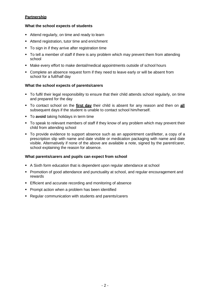#### **Partnership**

#### **What the school expects of students**

- Attend regularly, on time and ready to learn
- Attend registration, tutor time and enrichment
- To sign in if they arrive after registration time
- To tell a member of staff if there is any problem which may prevent them from attending school
- Make every effort to make dental/medical appointments outside of school hours
- Complete an absence request form if they need to leave early or will be absent from school for a full/half day

#### **What the school expects of parents/carers**

- To fulfil their legal responsibility to ensure that their child attends school regularly, on time and prepared for the day
- To contact school on the **first day** their child is absent for any reason and then on **all** subsequent days if the student is unable to contact school him/herself.
- To **avoid** taking holidays in term time
- To speak to relevant members of staff if they know of any problem which may prevent their child from attending school
- To provide evidence to support absence such as an appointment card/letter, a copy of a prescription slip with name and date visible or medication packaging with name and date visible. Alternatively if none of the above are available a note, signed by the parent/carer, school explaining the reason for absence.

#### **What parents/carers and pupils can expect from school**

- A Sixth form education that is dependent upon regular attendance at school
- Promotion of good attendance and punctuality at school, and regular encouragement and rewards
- **Efficient and accurate recording and monitoring of absence**
- **Prompt action when a problem has been identified**
- Regular communication with students and parents/carers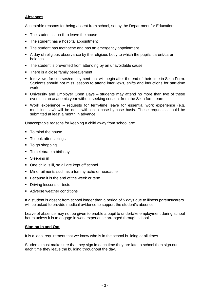#### **Absences**

Acceptable reasons for being absent from school, set by the Department for Education:

- The student is too ill to leave the house
- The student has a hospital appointment
- The student has toothache and has an emergency appointment
- A day of religious observance by the religious body to which the pupil's parent/carer belongs
- The student is prevented from attending by an unavoidable cause
- There is a close family bereavement
- **.** Interviews for courses/employment that will begin after the end of their time in Sixth Form. Students should not miss lessons to attend interviews, shifts and inductions for part-time work
- University and Employer Open Days students may attend no more than two of these events in an academic year without seeking consent from the Sixth form team.
- Work experience requests for term-time leave for essential work experience (e.g. medicine, law) will be dealt with on a case-by-case basis. These requests should be submitted at least a month in advance

Unacceptable reasons for keeping a child away from school are:

- To mind the house
- To look after siblings
- To go shopping
- To celebrate a birthday
- Sleeping in
- One child is ill, so all are kept off school
- Minor ailments such as a tummy ache or headache
- Because it is the end of the week or term
- **•** Driving lessons or tests
- Adverse weather conditions

If a student is absent from school longer than a period of 5 days due to illness parents/carers will be asked to provide medical evidence to support the student's absence.

Leave of absence may not be given to enable a pupil to undertake employment during school hours unless it is to engage in work experience arranged through school.

#### **Signing In and Out**

It is a legal requirement that we know who is in the school building at all times.

Students must make sure that they sign in each time they are late to school then sign out each time they leave the building throughout the day.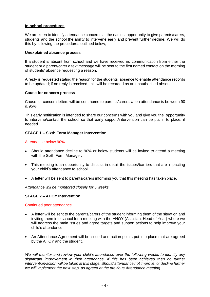#### **In-school procedures**

We are keen to identify attendance concerns at the earliest opportunity to give parents/carers, students and the school the ability to intervene early and prevent further decline. We will do this by following the procedures outlined below;

#### **Unexplained absence process**

If a student is absent from school and we have received no communication from either the student or a parent/carer a text message will be sent to the first named contact on the morning of students' absence requesting a reason.

A reply is requested stating the reason for the students' absence to enable attendance records to be updated; if no reply is received, this will be recorded as an unauthorised absence.

#### **Cause for concern process**

Cause for concern letters will be sent home to parents/carers when attendance is between 90 & 95%.

This early notification is intended to share our concerns with you and give you the opportunity to intervene/contact the school so that early support/intervention can be put in to place, if needed.

#### **STAGE 1 – Sixth Form Manager Intervention**

#### Attendance below 90%

- Should attendance decline to 90% or below students will be invited to attend a meeting with the Sixth Form Manager.
- This meeting is an opportunity to discuss in detail the issues/barriers that are impacting your child's attendance to school.
- A letter will be sent to parents/carers informing you that this meeting has taken place.

*Attendance will be monitored closely for 5 weeks.* 

#### **STAGE 2 – AHOY Intervention**

#### Continued poor attendance

- A letter will be sent to the parents/carers of the student informing them of the situation and inviting them into school for a meeting with the AHOY (Assistant Head of Year) where we will address the main issues and agree targets and support actions to help improve your child's attendance.
- An Attendance Agreement will be issued and action points put into place that are agreed by the AHOY and the student.

*We will monitor and review your child's attendance over the following weeks to identify any significant improvement in their attendance. If this has been achieved then no further*  intervention/action will be taken at this stage. Should attendance not improve, or decline further *we will implement the next step, as agreed at the previous Attendance meeting.*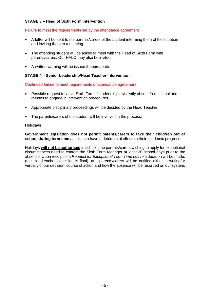#### **STAGE 3 – Head of Sixth Form Intervention**

#### Failure to meet the requirements set by the attendance agreement

- A letter will be sent to the parents/carers of the student informing them of the situation and inviting them to a meeting.
- The offending student will be asked to meet with the Head of Sixth Form with parents/carers. Our HALO may also be invited.
- A written warning will be issued if appropriate.

#### **STAGE 4 – Senior Leadership/Head Teacher Intervention**

Continued failure to meet requirements of attendance agreement

- Possible request to leave Sixth Form if student is persistently absent from school and refuses to engage in intervention procedures.
- Appropriate disciplinary proceedings will be decided by the Head Teacher.
- The parents/carers of the student will be involved in the process.

#### **Holidays**

**Government legislation does not permit parents/carers to take their child/ren out of school during term time** as this can have a detrimental effect on their academic progress.

Holidays **will not be authorised** in school time parents/carers wishing to apply for exceptional circumstances need to contact the Sixth Form Manager at least 20 school days prior to the absence. Upon receipt of a *Request for Exceptional Term Time Leave* a decision will be made, (the Headteachers decision is final), and parents/carers will be notified either in writing/or verbally of our decision, course of action and how the absence will be recorded on our system.